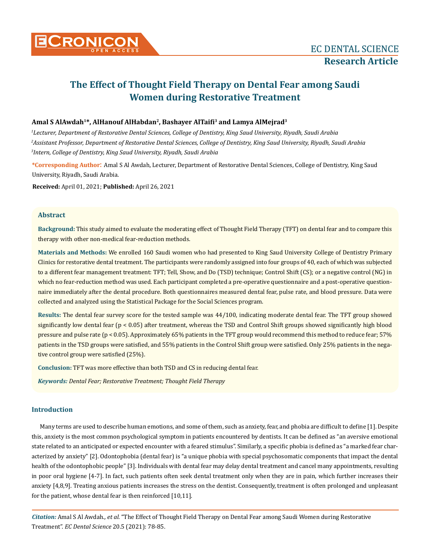

# **The Effect of Thought Field Therapy on Dental Fear among Saudi Women during Restorative Treatment**

# **Amal S AlAwdah1\*, AlHanouf AlHabdan2, Bashayer AlTaifi3 and Lamya AlMejrad3**

*1 Lecturer, Department of Restorative Dental Sciences, College of Dentistry, King Saud University, Riyadh, Saudi Arabia 2 Assistant Professor, Department of Restorative Dental Sciences, College of Dentistry, King Saud University, Riyadh, Saudi Arabia 3 Intern, College of Dentistry, King Saud University, Riyadh, Saudi Arabia*

**\*Corresponding Author**: Amal S Al Awdah, Lecturer, Department of Restorative Dental Sciences, College of Dentistry, King Saud University, Riyadh, Saudi Arabia.

**Received:** April 01, 2021; **Published:** April 26, 2021

## **Abstract**

**Background:** This study aimed to evaluate the moderating effect of Thought Field Therapy (TFT) on dental fear and to compare this therapy with other non-medical fear-reduction methods.

**Materials and Methods:** We enrolled 160 Saudi women who had presented to King Saud University College of Dentistry Primary Clinics for restorative dental treatment. The participants were randomly assigned into four groups of 40, each of which was subjected to a different fear management treatment: TFT; Tell, Show, and Do (TSD) technique; Control Shift (CS); or a negative control (NG) in which no fear-reduction method was used. Each participant completed a pre-operative questionnaire and a post-operative questionnaire immediately after the dental procedure. Both questionnaires measured dental fear, pulse rate, and blood pressure. Data were collected and analyzed using the Statistical Package for the Social Sciences program.

**Results:** The dental fear survey score for the tested sample was 44/100, indicating moderate dental fear. The TFT group showed significantly low dental fear (p < 0.05) after treatment, whereas the TSD and Control Shift groups showed significantly high blood pressure and pulse rate (p < 0.05). Approximately 65% patients in the TFT group would recommend this method to reduce fear; 57% patients in the TSD groups were satisfied, and 55% patients in the Control Shift group were satisfied. Only 25% patients in the negative control group were satisfied (25%).

**Conclusion:** TFT was more effective than both TSD and CS in reducing dental fear.

*Keywords: Dental Fear; Restorative Treatment; Thought Field Therapy*

# **Introduction**

Many terms are used to describe human emotions, and some of them, such as anxiety, fear, and phobia are difficult to define [1]. Despite this, anxiety is the most common psychological symptom in patients encountered by dentists. It can be defined as "an aversive emotional state related to an anticipated or expected encounter with a feared stimulus". Similarly, a specific phobia is defined as "a marked fear characterized by anxiety" [2]. Odontophobia (dental fear) is "a unique phobia with special psychosomatic components that impact the dental health of the odontophobic people" [3]. Individuals with dental fear may delay dental treatment and cancel many appointments, resulting in poor oral hygiene [4-7]. In fact, such patients often seek dental treatment only when they are in pain, which further increases their anxiety [4,8,9]. Treating anxious patients increases the stress on the dentist. Consequently, treatment is often prolonged and unpleasant for the patient, whose dental fear is then reinforced [10,11].

*Citation:* Amal S Al Awdah*., et al.* "The Effect of Thought Field Therapy on Dental Fear among Saudi Women during Restorative Treatment". *EC Dental Science* 20.5 (2021): 78-85.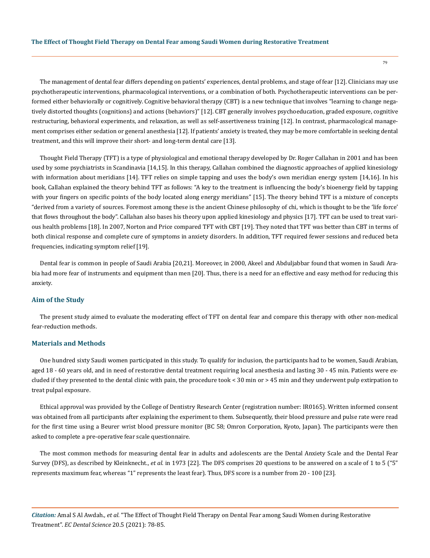The management of dental fear differs depending on patients' experiences, dental problems, and stage of fear [12]. Clinicians may use psychotherapeutic interventions, pharmacological interventions, or a combination of both. Psychotherapeutic interventions can be performed either behaviorally or cognitively. Cognitive behavioral therapy (CBT) is a new technique that involves "learning to change negatively distorted thoughts (cognitions) and actions (behaviors)" [12]. CBT generally involves psychoeducation, graded exposure, cognitive restructuring, behavioral experiments, and relaxation, as well as self-assertiveness training [12]. In contrast, pharmacological management comprises either sedation or general anesthesia [12]. If patients' anxiety is treated, they may be more comfortable in seeking dental treatment, and this will improve their short- and long-term dental care [13].

Thought Field Therapy (TFT) is a type of physiological and emotional therapy developed by Dr. Roger Callahan in 2001 and has been used by some psychiatrists in Scandinavia [14,15]. In this therapy, Callahan combined the diagnostic approaches of applied kinesiology with information about meridians [14]. TFT relies on simple tapping and uses the body's own meridian energy system [14,16]. In his book, Callahan explained the theory behind TFT as follows: "A key to the treatment is influencing the body's bioenergy field by tapping with your fingers on specific points of the body located along energy meridians" [15]. The theory behind TFT is a mixture of concepts "derived from a variety of sources. Foremost among these is the ancient Chinese philosophy of chi, which is thought to be the 'life force' that flows throughout the body". Callahan also bases his theory upon applied kinesiology and physics [17]. TFT can be used to treat various health problems [18]. In 2007, Norton and Price compared TFT with CBT [19]. They noted that TFT was better than CBT in terms of both clinical response and complete cure of symptoms in anxiety disorders. In addition, TFT required fewer sessions and reduced beta frequencies, indicating symptom relief [19].

Dental fear is common in people of Saudi Arabia [20,21]. Moreover, in 2000, Akeel and Abduljabbar found that women in Saudi Arabia had more fear of instruments and equipment than men [20]. Thus, there is a need for an effective and easy method for reducing this anxiety.

#### **Aim of the Study**

The present study aimed to evaluate the moderating effect of TFT on dental fear and compare this therapy with other non-medical fear-reduction methods.

## **Materials and Methods**

One hundred sixty Saudi women participated in this study. To qualify for inclusion, the participants had to be women, Saudi Arabian, aged 18 - 60 years old, and in need of restorative dental treatment requiring local anesthesia and lasting 30 - 45 min. Patients were excluded if they presented to the dental clinic with pain, the procedure took < 30 min or > 45 min and they underwent pulp extirpation to treat pulpal exposure.

Ethical approval was provided by the College of Dentistry Research Center (registration number: IR0165). Written informed consent was obtained from all participants after explaining the experiment to them. Subsequently, their blood pressure and pulse rate were read for the first time using a Beurer wrist blood pressure monitor (BC 58; Omron Corporation, Kyoto, Japan). The participants were then asked to complete a pre-operative fear scale questionnaire.

The most common methods for measuring dental fear in adults and adolescents are the Dental Anxiety Scale and the Dental Fear Survey (DFS), as described by Kleinknecht., *et al.* in 1973 [22]. The DFS comprises 20 questions to be answered on a scale of 1 to 5 ("5" represents maximum fear, whereas "1" represents the least fear). Thus, DFS score is a number from 20 - 100 [23].

*Citation:* Amal S Al Awdah*., et al.* "The Effect of Thought Field Therapy on Dental Fear among Saudi Women during Restorative Treatment". *EC Dental Science* 20.5 (2021): 78-85.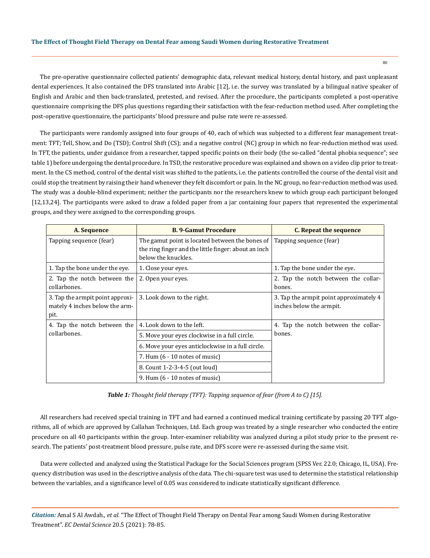The pre-operative questionnaire collected patients' demographic data, relevant medical history, dental history, and past unpleasant dental experiences. It also contained the DFS translated into Arabic [12], i.e. the survey was translated by a bilingual native speaker of English and Arabic and then back-translated, pretested, and revised. After the procedure, the participants completed a post-operative questionnaire comprising the DFS plus questions regarding their satisfaction with the fear-reduction method used. After completing the post-operative questionnaire, the participants' blood pressure and pulse rate were re-assessed.

The participants were randomly assigned into four groups of 40, each of which was subjected to a different fear management treatment: TFT; Tell, Show, and Do (TSD); Control Shift (CS); and a negative control (NC) group in which no fear-reduction method was used. In TFT, the patients, under guidance from a researcher, tapped specific points on their body (the so-called "dental phobia sequence"; see table 1) before undergoing the dental procedure. In TSD, the restorative procedure was explained and shown on a video clip prior to treatment. In the CS method, control of the dental visit was shifted to the patients, i.e. the patients controlled the course of the dental visit and could stop the treatment by raising their hand whenever they felt discomfort or pain. In the NC group, no fear-reduction method was used. The study was a double-blind experiment; neither the participants nor the researchers knew to which group each participant belonged [12,13,24]. The participants were asked to draw a folded paper from a jar containing four papers that represented the experimental groups, and they were assigned to the corresponding groups.

| A. Sequence                                                                | <b>B. 9-Gamut Procedure</b>                                                                                                    | C. Repeat the sequence                                              |  |  |
|----------------------------------------------------------------------------|--------------------------------------------------------------------------------------------------------------------------------|---------------------------------------------------------------------|--|--|
| Tapping sequence (fear)                                                    | The gamut point is located between the bones of<br>the ring finger and the little finger: about an inch<br>below the knuckles. | Tapping sequence (fear)                                             |  |  |
| 1. Tap the bone under the eye.                                             | 1. Close your eyes.                                                                                                            | 1. Tap the bone under the eye.                                      |  |  |
| 2. Tap the notch between the<br>collarbones.                               | 2. Open your eyes.                                                                                                             | 2. Tap the notch between the collar-<br>bones.                      |  |  |
| 3. Tap the armpit point approxi-<br>mately 4 inches below the arm-<br>pit. | 3. Look down to the right.                                                                                                     | 3. Tap the armpit point approximately 4<br>inches below the armpit. |  |  |
| 4. Tap the notch between the                                               | 4. Look down to the left.                                                                                                      | 4. Tap the notch between the collar-                                |  |  |
| collarbones.                                                               | 5. Move your eyes clockwise in a full circle.                                                                                  | bones.                                                              |  |  |
|                                                                            | 6. Move your eyes anticlockwise in a full circle.                                                                              |                                                                     |  |  |
|                                                                            | 7. Hum $(6 - 10$ notes of music)                                                                                               |                                                                     |  |  |
|                                                                            | 8. Count 1-2-3-4-5 (out loud)                                                                                                  |                                                                     |  |  |
|                                                                            | 9. Hum $(6 - 10$ notes of music)                                                                                               |                                                                     |  |  |

*Table 1: Thought field therapy (TFT): Tapping sequence of fear (from A to C) [15].*

All researchers had received special training in TFT and had earned a continued medical training certificate by passing 20 TFT algorithms, all of which are approved by Callahan Techniques, Ltd. Each group was treated by a single researcher who conducted the entire procedure on all 40 participants within the group. Inter-examiner reliability was analyzed during a pilot study prior to the present research. The patients' post-treatment blood pressure, pulse rate, and DFS score were re-assessed during the same visit.

Data were collected and analyzed using the Statistical Package for the Social Sciences program (SPSS Ver. 22.0; Chicago, IL, USA). Frequency distribution was used in the descriptive analysis of the data. The chi-square test was used to determine the statistical relationship between the variables, and a significance level of 0.05 was considered to indicate statistically significant difference.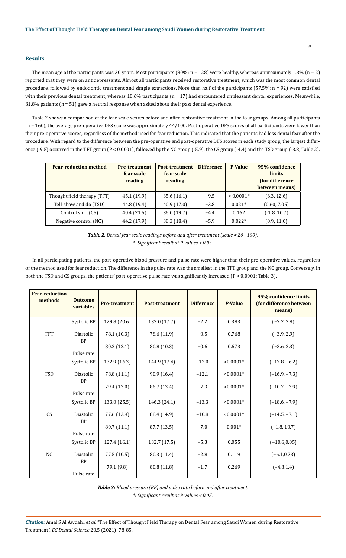# **Results**

The mean age of the participants was 30 years. Most participants  $(80\%; n = 128)$  were healthy, whereas approximately 1.3%  $(n = 2)$ reported that they were on antidepressants. Almost all participants received restorative treatment, which was the most common dental procedure, followed by endodontic treatment and simple extractions. More than half of the participants (57.5%; n = 92) were satisfied with their previous dental treatment, whereas 10.6% participants (n = 17) had encountered unpleasant dental experiences. Meanwhile, 31.8% patients (n = 51) gave a neutral response when asked about their past dental experience.

Table 2 shows a comparison of the fear scale scores before and after restorative treatment in the four groups. Among all participants (n = 160), the average pre-operative DFS score was approximately 44/100. Post-operative DFS scores of all participants were lower than their pre-operative scores, regardless of the method used for fear reduction. This indicated that the patients had less dental fear after the procedure. With regard to the difference between the pre-operative and post-operative DFS scores in each study group, the largest difference (-9.5) occurred in the TFT group (P < 0.0001), followed by the NC group (-5.9), the CS group (-4.4) and the TSD group (-3.8; Table 2).

| <b>Fear-reduction method</b> | <b>Pre-treatment</b><br>fear scale<br>reading | <b>Post-treatment</b><br>fear scale<br>reading | <b>Difference</b> | <b>P-Value</b> | 95% confidence<br><b>limits</b><br>(for difference<br>between means) |
|------------------------------|-----------------------------------------------|------------------------------------------------|-------------------|----------------|----------------------------------------------------------------------|
| Thought field therapy (TFT)  | 45.1 (19.9)                                   | 35.6(16.1)                                     | $-9.5$            | $< 0.0001*$    | (6.3, 12.6)                                                          |
| Tell-show and do (TSD)       | 44.8 (19.4)                                   | 40.9(17.0)                                     | $-3.8$            | $0.021*$       | (0.60, 7.05)                                                         |
| Control shift (CS)           | 40.4(21.5)                                    | 36.0(19.7)                                     | $-4.4$            | 0.162          | $(-1.8, 10.7)$                                                       |
| Negative control (NC)        | 44.2 (17.9)                                   | 38.3 (18.4)                                    | $-5.9$            | $0.022*$       | (0.9, 11.0)                                                          |

*Table 2. Dental fear scale readings before and after treatment (scale = 20 - 100). \*: Significant result at P-values < 0.05.*

In all participating patients, the post-operative blood pressure and pulse rate were higher than their pre-operative values, regardless of the method used for fear reduction. The difference in the pulse rate was the smallest in the TFT group and the NC group. Conversely, in both the TSD and CS groups, the patients' post-operative pulse rate was significantly increased (P < 0.0001; Table 3).

| <b>Fear-reduction</b><br>methods | <b>Outcome</b><br>variables | <b>Pre-treatment</b> | <b>Post-treatment</b> | <b>Difference</b> | P-Value     | 95% confidence limits<br>(for difference between<br>means) |
|----------------------------------|-----------------------------|----------------------|-----------------------|-------------------|-------------|------------------------------------------------------------|
|                                  | Systolic BP                 | 129.8 (20.6)         | 132.0 (17.7)          | $-2.2$            | 0.383       | $(-7.2, 2.8)$                                              |
| <b>TFT</b>                       | Diastolic<br><b>BP</b>      | 78.1 (10.3)          | 78.6 (11.9)           | $-0.5$            | 0.768       | $(-3.9, 2.9)$                                              |
|                                  | Pulse rate                  | 80.2 (12.1)          | 80.8 (10.3)           | $-0.6$            | 0.673       | $(-3.6, 2.3)$                                              |
|                                  | Systolic BP                 | 132.9 (16.3)         | 144.9 (17.4)          | $-12.0$           | $< 0.0001*$ | $(-17.8, -6.2)$                                            |
| TSD                              | Diastolic<br><b>BP</b>      | 78.8 (11.1)          | 90.9 (16.4)           | $-12.1$           | $< 0.0001*$ | $(-16.9, -7.3)$                                            |
|                                  | Pulse rate                  | 79.4 (13.0)          | 86.7 (13.4)           | $-7.3$            | $< 0.0001*$ | $(-10.7, -3.9)$                                            |
|                                  | Systolic BP                 | 133.0 (25.5)         | 146.3 (24.1)          | $-13.3$           | $< 0.0001*$ | $(-18.6, -7.9)$                                            |
| CS                               | Diastolic<br><b>BP</b>      | 77.6 (13.9)          | 88.4 (14.9)           | $-10.8$           | $< 0.0001*$ | $(-14.5, -7.1)$                                            |
|                                  | Pulse rate                  | 80.7 (11.1)          | 87.7 (13.5)           | $-7.0$            | $0.001*$    | $(-1.8, 10.7)$                                             |
|                                  | Systolic BP                 | 127.4 (16.1)         | 132.7 (17.5)          | $-5.3$            | 0.055       | $(-10.6, 0.05)$                                            |
| <b>NC</b>                        | Diastolic<br><b>BP</b>      | 77.5 (10.5)          | 80.3 (11.4)           | $-2.8$            | 0.119       | $(-6.1, 0.73)$                                             |
|                                  | Pulse rate                  | 79.1 (9.8)           | 80.8 (11.8)           | $-1.7$            | 0.269       | $(-4.8, 1.4)$                                              |

*Table 3: Blood pressure (BP) and pulse rate before and after treatment. \*: Significant result at P-values < 0.05.*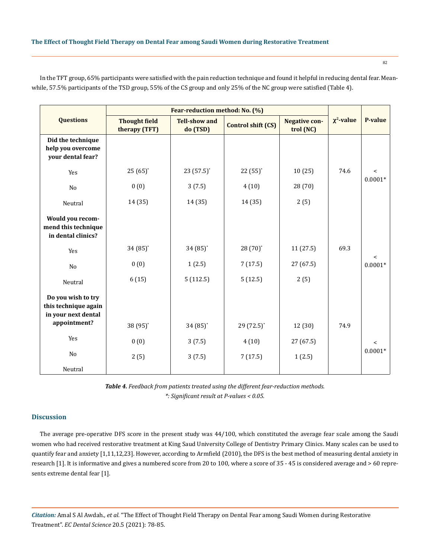|                                                                   |                                       | Fear-reduction method: No. (%)   |                           |                                   |                 | <b>P-value</b>     |
|-------------------------------------------------------------------|---------------------------------------|----------------------------------|---------------------------|-----------------------------------|-----------------|--------------------|
| <b>Questions</b>                                                  | <b>Thought field</b><br>therapy (TFT) | <b>Tell-show and</b><br>do (TSD) | <b>Control shift (CS)</b> | <b>Negative con-</b><br>trol (NC) | $\chi^2$ -value |                    |
| Did the technique<br>help you overcome<br>your dental fear?       |                                       |                                  |                           |                                   |                 |                    |
| Yes                                                               | $25(65)^*$                            | $23(57.5)^*$                     | $22(55)^*$                | 10(25)                            | 74.6            | $\,<$<br>$0.0001*$ |
| N <sub>o</sub>                                                    | 0(0)                                  | 3(7.5)                           | 4(10)                     | 28 (70)                           |                 |                    |
| Neutral                                                           | 14 (35)                               | 14 (35)                          | 14 (35)                   | 2(5)                              |                 |                    |
| Would you recom-<br>mend this technique<br>in dental clinics?     |                                       |                                  |                           |                                   |                 |                    |
| Yes                                                               | $34(85)$ *                            | $34(85)$ *                       | $28(70)$ <sup>*</sup>     | 11(27.5)                          | 69.3            |                    |
| No                                                                | 0(0)                                  | 1(2.5)                           | 7(17.5)                   | 27 (67.5)                         |                 | $\,<$<br>$0.0001*$ |
| Neutral                                                           | 6(15)                                 | 5(112.5)                         | 5(12.5)                   | 2(5)                              |                 |                    |
| Do you wish to try<br>this technique again<br>in your next dental |                                       |                                  |                           |                                   |                 |                    |
| appointment?                                                      | 38 (95)*                              | $34(85)$ *                       | 29 (72.5)*                | 12 (30)                           | 74.9            |                    |
| Yes                                                               | 0(0)                                  | 3(7.5)                           | 4(10)                     | 27 (67.5)                         |                 | $\,<$              |
| No                                                                | 2(5)                                  | 3(7.5)                           | 7(17.5)                   | 1(2.5)                            |                 | $0.0001*$          |
| Neutral                                                           |                                       |                                  |                           |                                   |                 |                    |

In the TFT group, 65% participants were satisfied with the pain reduction technique and found it helpful in reducing dental fear. Meanwhile, 57.5% participants of the TSD group, 55% of the CS group and only 25% of the NC group were satisfied (Table 4).

> *Table 4. Feedback from patients treated using the different fear-reduction methods. \*: Significant result at P-values < 0.05.*

# **Discussion**

The average pre-operative DFS score in the present study was 44/100, which constituted the average fear scale among the Saudi women who had received restorative treatment at King Saud University College of Dentistry Primary Clinics. Many scales can be used to quantify fear and anxiety [1,11,12,23]. However, according to Armfield (2010), the DFS is the best method of measuring dental anxiety in research [1]. It is informative and gives a numbered score from 20 to 100, where a score of 35 - 45 is considered average and > 60 represents extreme dental fear [1].

*Citation:* Amal S Al Awdah*., et al.* "The Effect of Thought Field Therapy on Dental Fear among Saudi Women during Restorative Treatment". *EC Dental Science* 20.5 (2021): 78-85.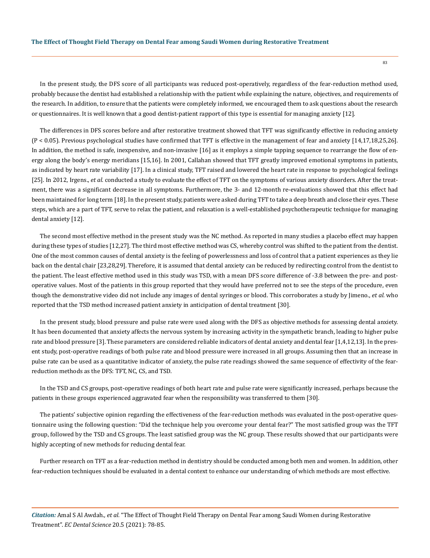In the present study, the DFS score of all participants was reduced post-operatively, regardless of the fear-reduction method used, probably because the dentist had established a relationship with the patient while explaining the nature, objectives, and requirements of the research. In addition, to ensure that the patients were completely informed, we encouraged them to ask questions about the research or questionnaires. It is well known that a good dentist-patient rapport of this type is essential for managing anxiety [12].

The differences in DFS scores before and after restorative treatment showed that TFT was significantly effective in reducing anxiety (P < 0.05). Previous psychological studies have confirmed that TFT is effective in the management of fear and anxiety [14,17,18,25,26]. In addition, the method is safe, inexpensive, and non-invasive [16] as it employs a simple tapping sequence to rearrange the flow of energy along the body's energy meridians [15,16]. In 2001, Callahan showed that TFT greatly improved emotional symptoms in patients, as indicated by heart rate variability [17]. In a clinical study, TFT raised and lowered the heart rate in response to psychological feelings [25]. In 2012, Irgens., *et al.* conducted a study to evaluate the effect of TFT on the symptoms of various anxiety disorders. After the treatment, there was a significant decrease in all symptoms. Furthermore, the 3- and 12-month re-evaluations showed that this effect had been maintained for long term [18]. In the present study, patients were asked during TFT to take a deep breath and close their eyes. These steps, which are a part of TFT, serve to relax the patient, and relaxation is a well-established psychotherapeutic technique for managing dental anxiety [12].

The second most effective method in the present study was the NC method. As reported in many studies a placebo effect may happen during these types of studies [12,27]. The third most effective method was CS, whereby control was shifted to the patient from the dentist. One of the most common causes of dental anxiety is the feeling of powerlessness and loss of control that a patient experiences as they lie back on the dental chair [23,28,29]. Therefore, it is assumed that dental anxiety can be reduced by redirecting control from the dentist to the patient. The least effective method used in this study was TSD, with a mean DFS score difference of -3.8 between the pre- and postoperative values. Most of the patients in this group reported that they would have preferred not to see the steps of the procedure, even though the demonstrative video did not include any images of dental syringes or blood. This corroborates a study by Jimeno., *et al.* who reported that the TSD method increased patient anxiety in anticipation of dental treatment [30].

In the present study, blood pressure and pulse rate were used along with the DFS as objective methods for assessing dental anxiety. It has been documented that anxiety affects the nervous system by increasing activity in the sympathetic branch, leading to higher pulse rate and blood pressure [3]. These parameters are considered reliable indicators of dental anxiety and dental fear [1,4,12,13]. In the present study, post-operative readings of both pulse rate and blood pressure were increased in all groups. Assuming then that an increase in pulse rate can be used as a quantitative indicator of anxiety, the pulse rate readings showed the same sequence of effectivity of the fearreduction methods as the DFS: TFT, NC, CS, and TSD.

In the TSD and CS groups, post-operative readings of both heart rate and pulse rate were significantly increased, perhaps because the patients in these groups experienced aggravated fear when the responsibility was transferred to them [30].

The patients' subjective opinion regarding the effectiveness of the fear-reduction methods was evaluated in the post-operative questionnaire using the following question: "Did the technique help you overcome your dental fear?" The most satisfied group was the TFT group, followed by the TSD and CS groups. The least satisfied group was the NC group. These results showed that our participants were highly accepting of new methods for reducing dental fear.

Further research on TFT as a fear-reduction method in dentistry should be conducted among both men and women. In addition, other fear-reduction techniques should be evaluated in a dental context to enhance our understanding of which methods are most effective.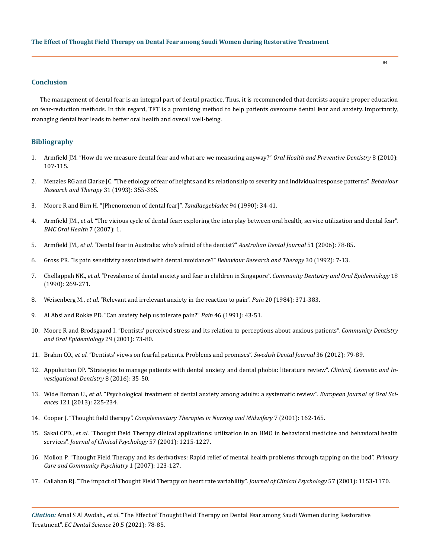## **Conclusion**

The management of dental fear is an integral part of dental practice. Thus, it is recommended that dentists acquire proper education on fear-reduction methods. In this regard, TFT is a promising method to help patients overcome dental fear and anxiety. Importantly, managing dental fear leads to better oral health and overall well-being.

# **Bibliography**

- 1. [Armfield JM. "How do we measure dental fear and what are we measuring anyway?"](https://pubmed.ncbi.nlm.nih.gov/20589243/) *Oral Health and Preventive Dentistry* 8 (2010): [107-115.](https://pubmed.ncbi.nlm.nih.gov/20589243/)
- 2. [Menzies RG and Clarke JC. "The etiology of fear of heights and its relationship to severity and individual response patterns".](https://pubmed.ncbi.nlm.nih.gov/7677717/) *Behaviour [Research and Therapy](https://pubmed.ncbi.nlm.nih.gov/7677717/)* 31 (1993): 355-365.
- 3. [Moore R and Birn H. "\[Phenomenon of dental fear\]".](https://pubmed.ncbi.nlm.nih.gov/2377962/) *Tandlaegebladet* 94 (1990): 34-41.
- 4. Armfield JM., *et al*[. "The vicious cycle of dental fear: exploring the interplay between oral health, service utilization and dental fear".](https://bmcoralhealth.biomedcentral.com/articles/10.1186/1472-6831-7-1)  *[BMC Oral Health](https://bmcoralhealth.biomedcentral.com/articles/10.1186/1472-6831-7-1)* 7 (2007): 1.
- 5. Armfield JM., *et al*[. "Dental fear in Australia: who's afraid of the dentist?"](https://pubmed.ncbi.nlm.nih.gov/16669482/) *Australian Dental Journal* 51 (2006): 78-85.
- 6. [Gross PR. "Is pain sensitivity associated with dental avoidance?"](https://www.sciencedirect.com/science/article/abs/pii/0005796792900904) *Behaviour Research and Therapy* 30 (1992): 7-13.
- 7. Chellappah NK., *et al*[. "Prevalence of dental anxiety and fear in children in Singapore".](https://pubmed.ncbi.nlm.nih.gov/2249413/) *Community Dentistry and Oral Epidemiology* 18 [\(1990\): 269-271.](https://pubmed.ncbi.nlm.nih.gov/2249413/)
- 8. Weisenberg M., *et al*[. "Relevant and irrelevant anxiety in the reaction to pain".](https://journals.lww.com/pain/Abstract/1984/12000/Relevant_and_irrelevant_anxiety_in_the_reaction_to.6.aspx) *Pain* 20 (1984): 371-383.
- 9. [Al Absi and Rokke PD. "Can anxiety help us tolerate pain?"](https://www.sciencedirect.com/science/article/abs/pii/030439599190032S) *Pain* 46 (1991): 43-51.
- 10. [Moore R and Brodsgaard I. "Dentists' perceived stress and its relation to perceptions about anxious patients".](https://pubmed.ncbi.nlm.nih.gov/11153566/) *Community Dentistry [and Oral Epidemiology](https://pubmed.ncbi.nlm.nih.gov/11153566/)* 29 (2001): 73-80.
- 11. Brahm CO., *et al*[. "Dentists' views on fearful patients. Problems and promises".](https://pubmed.ncbi.nlm.nih.gov/22876395/) *Swedish Dental Journal* 36 (2012): 79-89.
- 12. [Appukuttan DP. "Strategies to manage patients with dental anxiety and dental phobia: literature review".](https://pubmed.ncbi.nlm.nih.gov/27022303/) *Clinical, Cosmetic and In[vestigational Dentistry](https://pubmed.ncbi.nlm.nih.gov/27022303/)* 8 (2016): 35-50.
- 13. Wide Boman U., *et al*[. "Psychological treatment of dental anxiety among adults: a systematic review".](https://pubmed.ncbi.nlm.nih.gov/23659254/) *European Journal of Oral Sciences* [121 \(2013\): 225-234.](https://pubmed.ncbi.nlm.nih.gov/23659254/)
- 14. Cooper J. "Thought field therapy". *[Complementary Therapies in Nursing and Midwifery](https://www.goodtherapy.org/learn-about-therapy/types/thought-field-therapy)* 7 (2001): 162-165.
- 15. Sakai CPD., *et al*[. "Thought Field Therapy clinical applications: utilization in an HMO in behavioral medicine and behavioral health](https://pubmed.ncbi.nlm.nih.gov/11526608/)  services". *[Journal of Clinical Psychology](https://pubmed.ncbi.nlm.nih.gov/11526608/)* 57 (2001): 1215-1227.
- 16. [Mollon P. "Thought Field Therapy and its derivatives: Rapid relief of mental health problems through tapping on the bod".](https://psycnet.apa.org/record/2008-05906-004) *Primary [Care and Community Psychiatry](https://psycnet.apa.org/record/2008-05906-004)* 1 (2007): 123-127.
- 17. [Callahan RJ. "The impact of Thought Field Therapy on heart rate variability".](https://psycnet.apa.org/record/2001-18792-001) *Journal of Clinical Psychology* 57 (2001): 1153-1170.

*Citation:* Amal S Al Awdah*., et al.* "The Effect of Thought Field Therapy on Dental Fear among Saudi Women during Restorative Treatment". *EC Dental Science* 20.5 (2021): 78-85.